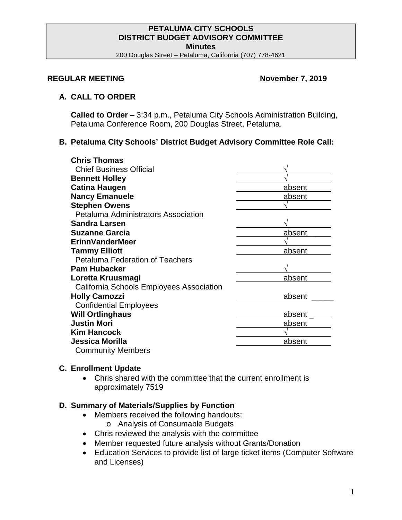#### **PETALUMA CITY SCHOOLS DISTRICT BUDGET ADVISORY COMMITTEE Minutes**

200 Douglas Street – Petaluma, California (707) 778-4621

### **REGULAR MEETING November 7, 2019**

### **A. CALL TO ORDER**

**Called to Order** – 3:34 p.m., Petaluma City Schools Administration Building, Petaluma Conference Room, 200 Douglas Street, Petaluma.

## **B. Petaluma City Schools' District Budget Advisory Committee Role Call:**

| <b>Chris Thomas</b>                      |        |
|------------------------------------------|--------|
| <b>Chief Business Official</b>           |        |
| <b>Bennett Holley</b>                    |        |
| <b>Catina Haugen</b>                     | absent |
| <b>Nancy Emanuele</b>                    | absent |
| <b>Stephen Owens</b>                     |        |
| Petaluma Administrators Association      |        |
| <b>Sandra Larsen</b>                     |        |
| <b>Suzanne Garcia</b>                    | absent |
| <b>ErinnVanderMeer</b>                   |        |
| <b>Tammy Elliott</b>                     | absent |
| <b>Petaluma Federation of Teachers</b>   |        |
| <b>Pam Hubacker</b>                      |        |
| Loretta Kruusmagi                        | absent |
| California Schools Employees Association |        |
| <b>Holly Camozzi</b>                     | absent |
| <b>Confidential Employees</b>            |        |
| <b>Will Ortlinghaus</b>                  | absent |
| <b>Justin Mori</b>                       | absent |
| <b>Kim Hancock</b>                       |        |
| Jessica Morilla                          | absent |
| <b>Community Members</b>                 |        |

#### **C. Enrollment Update**

• Chris shared with the committee that the current enrollment is approximately 7519

#### **D. Summary of Materials/Supplies by Function**

- Members received the following handouts:
	- o Analysis of Consumable Budgets
- Chris reviewed the analysis with the committee
- Member requested future analysis without Grants/Donation
- Education Services to provide list of large ticket items (Computer Software and Licenses)